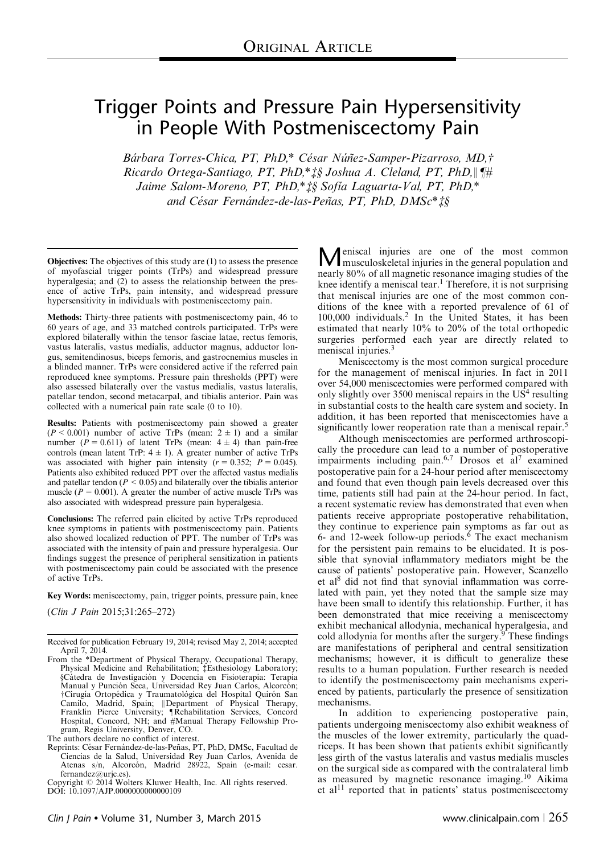# Trigger Points and Pressure Pain Hypersensitivity in People With Postmeniscectomy Pain

Bárbara Torres-Chica, PT, PhD,\* César Núñez-Samper-Pizarroso, MD,† Ricardo Ortega-Santiago, PT, PhD,\* $\sharp$ § Joshua A. Cleland, PT, PhD, ||¶# Jaime Salom-Moreno, PT, PhD,\* $\sharp$ § Sofía Laguarta-Val, PT, PhD,\* and César Fernández-de-las-Peñas, PT, PhD, DMSc\* $\ddagger$ §

Objectives: The objectives of this study are (1) to assess the presence of myofascial trigger points (TrPs) and widespread pressure hyperalgesia; and (2) to assess the relationship between the presence of active TrPs, pain intensity, and widespread pressure hypersensitivity in individuals with postmeniscectomy pain.

Methods: Thirty-three patients with postmeniscectomy pain, 46 to 60 years of age, and 33 matched controls participated. TrPs were explored bilaterally within the tensor fasciae latae, rectus femoris, vastus lateralis, vastus medialis, adductor magnus, adductor longus, semitendinosus, biceps femoris, and gastrocnemius muscles in a blinded manner. TrPs were considered active if the referred pain reproduced knee symptoms. Pressure pain thresholds (PPT) were also assessed bilaterally over the vastus medialis, vastus lateralis, patellar tendon, second metacarpal, and tibialis anterior. Pain was collected with a numerical pain rate scale (0 to 10).

Results: Patients with postmeniscectomy pain showed a greater  $(P < 0.001)$  number of active TrPs (mean:  $2 \pm 1$ ) and a similar number ( $P = 0.611$ ) of latent TrPs (mean:  $4 \pm 4$ ) than pain-free controls (mean latent TrP:  $4 \pm 1$ ). A greater number of active TrPs was associated with higher pain intensity ( $r = 0.352$ ;  $P = 0.045$ ). Patients also exhibited reduced PPT over the affected vastus medialis and patellar tendon ( $P < 0.05$ ) and bilaterally over the tibialis anterior muscle ( $P = 0.001$ ). A greater the number of active muscle TrPs was also associated with widespread pressure pain hyperalgesia.

Conclusions: The referred pain elicited by active TrPs reproduced knee symptoms in patients with postmeniscectomy pain. Patients also showed localized reduction of PPT. The number of TrPs was associated with the intensity of pain and pressure hyperalgesia. Our findings suggest the presence of peripheral sensitization in patients with postmeniscectomy pain could be associated with the presence of active TrPs.

Key Words: meniscectomy, pain, trigger points, pressure pain, knee

(Clin J Pain 2015;31:265–272)

The authors declare no conflict of interest.

**Meniscal injuries are one of the most common**<br>musculoskeletal injuries in the general population and<br>maps in the general population and nearly 80% of all magnetic resonance imaging studies of the knee identify a meniscal tear.<sup>1</sup> Therefore, it is not surprising that meniscal injuries are one of the most common conditions of the knee with a reported prevalence of 61 of 100,000 individuals.[2](#page-6-0) In the United States, it has been estimated that nearly 10% to 20% of the total orthopedic surgeries performed each year are directly related to meniscal injuries.<sup>[3](#page-7-0)</sup>

Meniscectomy is the most common surgical procedure for the management of meniscal injuries. In fact in 2011 over 54,000 meniscectomies were performed compared with only slightly over 3500 meniscal repairs in the  $US^4$  $US^4$  resulting in substantial costs to the health care system and society. In addition, it has been reported that meniscectomies have a significantly lower reoperation rate than a meniscal repair.<sup>[5](#page-7-0)</sup>

Although meniscectomies are performed arthroscopically the procedure can lead to a number of postoperative impairments including pain. $6,7$  $6,7$  Drosos et al<sup>7</sup> examined postoperative pain for a 24-hour period after meniscectomy and found that even though pain levels decreased over this time, patients still had pain at the 24-hour period. In fact, a recent systematic review has demonstrated that even when patients receive appropriate postoperative rehabilitation, they continue to experience pain symptoms as far out as [6](#page-7-0)- and 12-week follow-up periods.<sup>6</sup> The exact mechanism for the persistent pain remains to be elucidated. It is possible that synovial inflammatory mediators might be the cause of patients' postoperative pain. However, Scanzello et al<sup>[8](#page-7-0)</sup> did not find that synovial inflammation was correlated with pain, yet they noted that the sample size may have been small to identify this relationship. Further, it has been demonstrated that mice receiving a meniscectomy exhibit mechanical allodynia, mechanical hyperalgesia, and cold allodynia for months after the surgery. $9$  These findings are manifestations of peripheral and central sensitization mechanisms; however, it is difficult to generalize these results to a human population. Further research is needed to identify the postmeniscectomy pain mechanisms experienced by patients, particularly the presence of sensitization mechanisms.

In addition to experiencing postoperative pain, patients undergoing meniscectomy also exhibit weakness of the muscles of the lower extremity, particularly the quadriceps. It has been shown that patients exhibit significantly less girth of the vastus lateralis and vastus medialis muscles on the surgical side as compared with the contralateral limb as measured by magnetic resonance imaging.[10](#page-7-0) Aikima et al<sup>[11](#page-7-0)</sup> reported that in patients' status postmeniscectomy

Received for publication February 19, 2014; revised May 2, 2014; accepted

April 7, 2014. From the \*Department of Physical Therapy, Occupational Therapy, Physical Medicine and Rehabilitation; *IEsthesiology Laboratory;* §Cátedra de Investigación y Docencia en Fisioterapia: Terapia §Cátedra de Investigación y Docencia en Fisioterapia: Terapia<br>Manual y Punción Seca, Universidad Rey Juan Carlos, Alcorcón; †Cirugía Ortopédica y Traumatológica del Hospital Quirón San<br>Camilo, Madrid, Spain; ||Department of Physical Therapy, Camilo, Madrid, Spain; ||Department of Physical Therapy,<br>Franklin Pierce University; ¶Rehabilitation Services, Concord<br>Hospital, Concord, NH; and #Manual Therapy Fellowship Program, Regis University, Denver, CO.

Reprints: César Fernández-de-las-Peñas, PT, PhD, DMSc, Facultad de Ciencias de la Salud, Universidad Rey Juan Carlos, Avenida de Atenas s/n, Alcorcón, Madrid 28922, Spain (e-mail: [cesar.](mailto:cesar.fernandez@urjc.es) [fernandez@urjc.es](mailto:cesar.fernandez@urjc.es)).

Copyright © 2014 Wolters Kluwer Health, Inc. All rights reserved. DOI: 10.1097/AJP.0000000000000109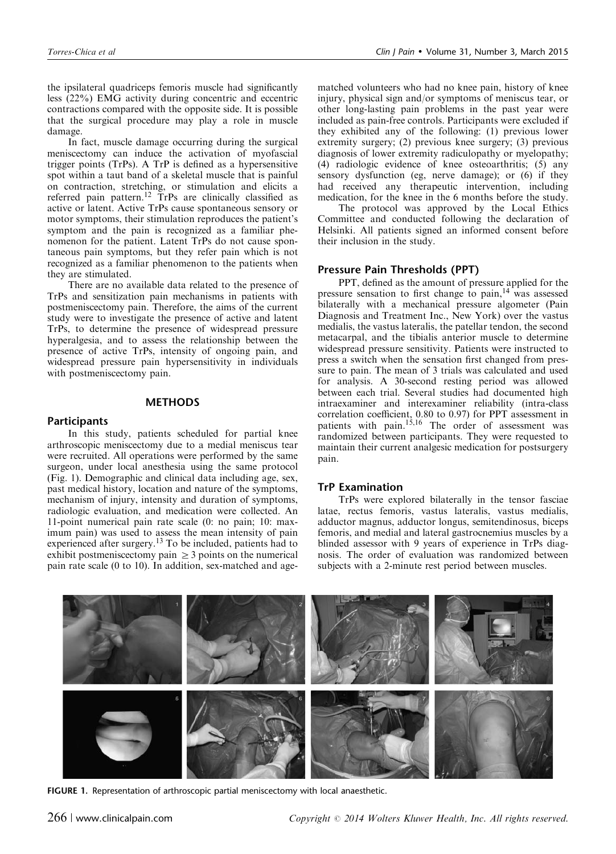<span id="page-1-0"></span>the ipsilateral quadriceps femoris muscle had significantly less (22%) EMG activity during concentric and eccentric contractions compared with the opposite side. It is possible that the surgical procedure may play a role in muscle damage.

In fact, muscle damage occurring during the surgical meniscectomy can induce the activation of myofascial trigger points (TrPs). A TrP is defined as a hypersensitive spot within a taut band of a skeletal muscle that is painful on contraction, stretching, or stimulation and elicits a referred pain pattern.<sup>[12](#page-7-0)</sup> TrPs are clinically classified as active or latent. Active TrPs cause spontaneous sensory or motor symptoms, their stimulation reproduces the patient's symptom and the pain is recognized as a familiar phenomenon for the patient. Latent TrPs do not cause spontaneous pain symptoms, but they refer pain which is not recognized as a familiar phenomenon to the patients when they are stimulated.

There are no available data related to the presence of TrPs and sensitization pain mechanisms in patients with postmeniscectomy pain. Therefore, the aims of the current study were to investigate the presence of active and latent TrPs, to determine the presence of widespread pressure hyperalgesia, and to assess the relationship between the presence of active TrPs, intensity of ongoing pain, and widespread pressure pain hypersensitivity in individuals with postmeniscectomy pain.

## **METHODS**

# **Participants**

In this study, patients scheduled for partial knee arthroscopic meniscectomy due to a medial meniscus tear were recruited. All operations were performed by the same surgeon, under local anesthesia using the same protocol (Fig. 1). Demographic and clinical data including age, sex, past medical history, location and nature of the symptoms, mechanism of injury, intensity and duration of symptoms, radiologic evaluation, and medication were collected. An 11-point numerical pain rate scale (0: no pain; 10: maximum pain) was used to assess the mean intensity of pain experienced after surgery.<sup>[13](#page-7-0)</sup> To be included, patients had to exhibit postmeniscectomy pain  $\geq$  3 points on the numerical pain rate scale (0 to 10). In addition, sex-matched and agematched volunteers who had no knee pain, history of knee injury, physical sign and/or symptoms of meniscus tear, or other long-lasting pain problems in the past year were included as pain-free controls. Participants were excluded if they exhibited any of the following: (1) previous lower extremity surgery; (2) previous knee surgery; (3) previous diagnosis of lower extremity radiculopathy or myelopathy; (4) radiologic evidence of knee osteoarthritis; (5) any sensory dysfunction (eg, nerve damage); or (6) if they had received any therapeutic intervention, including medication, for the knee in the 6 months before the study.

The protocol was approved by the Local Ethics Committee and conducted following the declaration of Helsinki. All patients signed an informed consent before their inclusion in the study.

# Pressure Pain Thresholds (PPT)

PPT, defined as the amount of pressure applied for the pressure sensation to first change to pain,<sup>[14](#page-7-0)</sup> was assessed bilaterally with a mechanical pressure algometer (Pain Diagnosis and Treatment Inc., New York) over the vastus medialis, the vastus lateralis, the patellar tendon, the second metacarpal, and the tibialis anterior muscle to determine widespread pressure sensitivity. Patients were instructed to press a switch when the sensation first changed from pressure to pain. The mean of 3 trials was calculated and used for analysis. A 30-second resting period was allowed between each trial. Several studies had documented high intraexaminer and interexaminer reliability (intra-class correlation coefficient, 0.80 to 0.97) for PPT assessment in patients with pain.<sup>15,16</sup> The order of assessment was randomized between participants. They were requested to maintain their current analgesic medication for postsurgery pain.

## TrP Examination

TrPs were explored bilaterally in the tensor fasciae latae, rectus femoris, vastus lateralis, vastus medialis, adductor magnus, adductor longus, semitendinosus, biceps femoris, and medial and lateral gastrocnemius muscles by a blinded assessor with 9 years of experience in TrPs diagnosis. The order of evaluation was randomized between subjects with a 2-minute rest period between muscles.



FIGURE 1. Representation of arthroscopic partial meniscectomy with local anaesthetic.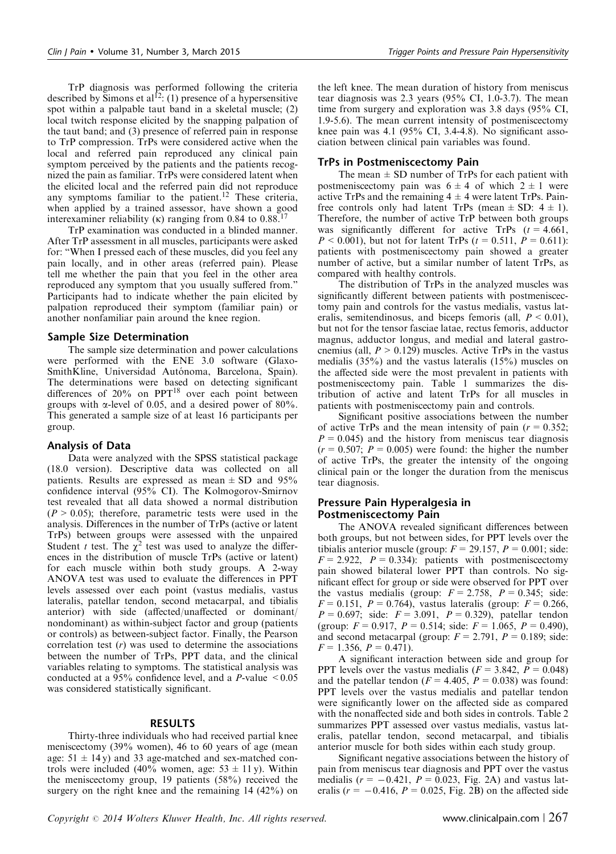TrP diagnosis was performed following the criteria described by Simons et al<sup>[12](#page-7-0)</sup>: (1) presence of a hypersensitive spot within a palpable taut band in a skeletal muscle; (2) local twitch response elicited by the snapping palpation of the taut band; and (3) presence of referred pain in response to TrP compression. TrPs were considered active when the local and referred pain reproduced any clinical pain symptom perceived by the patients and the patients recognized the pain as familiar. TrPs were considered latent when the elicited local and the referred pain did not reproduce any symptoms familiar to the patient.<sup>12</sup> These criteria, when applied by a trained assessor, have shown a good interexaminer reliability ( $\kappa$ ) ranging from 0.84 to 0.88.<sup>[17](#page-7-0)</sup>

TrP examination was conducted in a blinded manner. After TrP assessment in all muscles, participants were asked for: "When I pressed each of these muscles, did you feel any pain locally, and in other areas (referred pain). Please tell me whether the pain that you feel in the other area reproduced any symptom that you usually suffered from." Participants had to indicate whether the pain elicited by palpation reproduced their symptom (familiar pain) or another nonfamiliar pain around the knee region.

#### Sample Size Determination

The sample size determination and power calculations were performed with the ENE 3.0 software (Glaxo-SmithKline, Universidad Autónoma, Barcelona, Spain). The determinations were based on detecting significant differences of 20% on PPT[18](#page-7-0) over each point between groups with a-level of 0.05, and a desired power of 80%. This generated a sample size of at least 16 participants per group.

# Analysis of Data

Data were analyzed with the SPSS statistical package (18.0 version). Descriptive data was collected on all patients. Results are expressed as mean  $\pm$  SD and 95% confidence interval (95% CI). The Kolmogorov-Smirnov test revealed that all data showed a normal distribution  $(P > 0.05)$ ; therefore, parametric tests were used in the analysis. Differences in the number of TrPs (active or latent TrPs) between groups were assessed with the unpaired Student t test. The  $\chi^2$  test was used to analyze the differences in the distribution of muscle TrPs (active or latent) for each muscle within both study groups. A 2-way ANOVA test was used to evaluate the differences in PPT levels assessed over each point (vastus medialis, vastus lateralis, patellar tendon, second metacarpal, and tibialis anterior) with side (affected/unaffected or dominant/ nondominant) as within-subject factor and group (patients or controls) as between-subject factor. Finally, the Pearson correlation test  $(r)$  was used to determine the associations between the number of TrPs, PPT data, and the clinical variables relating to symptoms. The statistical analysis was conducted at a 95% confidence level, and a  $P$ -value  $\leq 0.05$ was considered statistically significant.

#### RESULTS

Thirty-three individuals who had received partial knee meniscectomy (39% women), 46 to 60 years of age (mean age:  $51 \pm 14$  y) and 33 age-matched and sex-matched controls were included (40% women, age:  $53 \pm 11$  y). Within the meniscectomy group, 19 patients (58%) received the surgery on the right knee and the remaining 14 (42%) on

the left knee. The mean duration of history from meniscus tear diagnosis was 2.3 years (95% CI, 1.0-3.7). The mean time from surgery and exploration was 3.8 days (95% CI, 1.9-5.6). The mean current intensity of postmeniscectomy knee pain was 4.1 (95% CI, 3.4-4.8). No significant association between clinical pain variables was found.

#### TrPs in Postmeniscectomy Pain

The mean  $\pm$  SD number of TrPs for each patient with postmeniscectomy pain was  $6 \pm 4$  of which  $2 \pm 1$  were active TrPs and the remaining  $4 \pm 4$  were latent TrPs. Painfree controls only had latent TrPs (mean  $\pm$  SD: 4  $\pm$  1). Therefore, the number of active TrP between both groups was significantly different for active TrPs  $(t= 4.661,$  $P < 0.001$ ), but not for latent TrPs ( $t = 0.511$ ,  $P = 0.611$ ): patients with postmeniscectomy pain showed a greater number of active, but a similar number of latent TrPs, as compared with healthy controls.

The distribution of TrPs in the analyzed muscles was significantly different between patients with postmeniscectomy pain and controls for the vastus medialis, vastus lateralis, semitendinosus, and biceps femoris (all,  $P \leq 0.01$ ), but not for the tensor fasciae latae, rectus femoris, adductor magnus, adductor longus, and medial and lateral gastrocnemius (all,  $P > 0.129$ ) muscles. Active TrPs in the vastus medialis (35%) and the vastus lateralis (15%) muscles on the affected side were the most prevalent in patients with postmeniscectomy pain. [Table 1](#page-3-0) summarizes the distribution of active and latent TrPs for all muscles in patients with postmeniscectomy pain and controls.

Significant positive associations between the number of active TrPs and the mean intensity of pain  $(r = 0.352)$ ;  $P = 0.045$ ) and the history from meniscus tear diagnosis  $(r = 0.507; P = 0.005)$  were found: the higher the number of active TrPs, the greater the intensity of the ongoing clinical pain or the longer the duration from the meniscus tear diagnosis.

## Pressure Pain Hyperalgesia in Postmeniscectomy Pain

The ANOVA revealed significant differences between both groups, but not between sides, for PPT levels over the tibialis anterior muscle (group:  $F = 29.157$ ,  $P = 0.001$ ; side:  $F = 2.922$ ,  $P = 0.334$ ): patients with postmeniscectomy pain showed bilateral lower PPT than controls. No significant effect for group or side were observed for PPT over the vastus medialis (group:  $F = 2.758$ ,  $P = 0.345$ ; side:  $F = 0.151$ ,  $P = 0.764$ ), vastus lateralis (group:  $F = 0.266$ ,  $P = 0.697$ ; side:  $F = 3.091$ ,  $P = 0.329$ ), patellar tendon (group:  $F = 0.917$ ,  $P = 0.514$ ; side:  $F = 1.065$ ,  $P = 0.490$ ), and second metacarpal (group:  $F = 2.791$ ,  $P = 0.189$ ; side:  $F = 1.356$ ,  $P = 0.471$ ).

A significant interaction between side and group for PPT levels over the vastus medialis ( $F = 3.842$ ,  $P = 0.048$ ) and the patellar tendon ( $F = 4.405$ ,  $P = 0.038$ ) was found: PPT levels over the vastus medialis and patellar tendon were significantly lower on the affected side as compared with the nonaffected side and both sides in controls. [Table 2](#page-4-0) summarizes PPT assessed over vastus medialis, vastus lateralis, patellar tendon, second metacarpal, and tibialis anterior muscle for both sides within each study group.

Significant negative associations between the history of pain from meniscus tear diagnosis and PPT over the vastus medialis  $(r = -0.421, P = 0.023, Fig. 2A)$  $(r = -0.421, P = 0.023, Fig. 2A)$  and vastus lateralis ( $r = -0.416$ ,  $P = 0.025$ , [Fig. 2B](#page-4-0)) on the affected side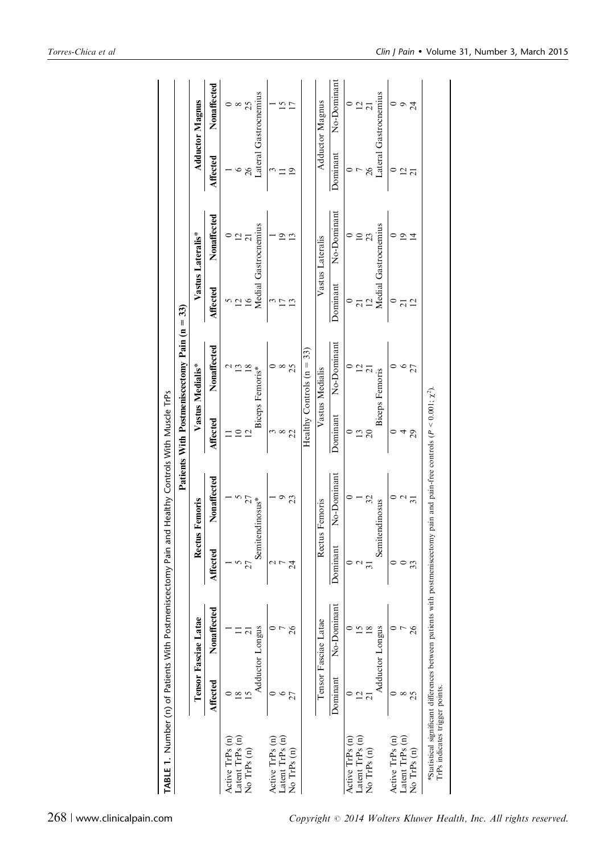<span id="page-3-0"></span>

|                                                   |                 | TABLE 1. Number (n) of Patients With Postmeniscectomy Pain and Healthy Controls With Muscle TrPs                                    |                                  |                       |                 |                                                |                         |                            |          |                                         |
|---------------------------------------------------|-----------------|-------------------------------------------------------------------------------------------------------------------------------------|----------------------------------|-----------------------|-----------------|------------------------------------------------|-------------------------|----------------------------|----------|-----------------------------------------|
|                                                   |                 |                                                                                                                                     |                                  |                       |                 | Patients With Postmeniscectomy Pain $(n = 33)$ |                         |                            |          |                                         |
|                                                   |                 | Tensor Fasciae Latae                                                                                                                |                                  | <b>Rectus Femoris</b> |                 | Vastus Medialis*                               |                         | Vastus Lateralis*          |          | <b>Adductor Magnus</b>                  |
|                                                   | <b>Affected</b> | Nonaffected                                                                                                                         | lected<br>$\mathbf{A}$ F         | Nonaffected           | <b>Affected</b> | Nonaffected                                    | Affected                | Nonaffected                | Affected | Nonaffected                             |
| Latent TrPs (n)<br>Active TrPs (n)<br>No TrPs (n) |                 |                                                                                                                                     | 27                               | Semitendinosus*       | $\overline{12}$ | Biceps Femoris*                                | $\geq$<br>7             | Medial Gastrocnemius<br>ų  | $^{26}$  | Lateral Gastrocnemius<br>25<br>$\infty$ |
| Latent TrPs (n)<br>Active TrPs (n)<br>No TrPs (n) |                 | Adductor Longus<br>26                                                                                                               | $\mathbf{\sim}$<br>$\frac{1}{2}$ | Z                     | $\infty$<br>22  | 25<br>$^{\circ}$                               |                         | Φ                          | っ        | r                                       |
|                                                   |                 |                                                                                                                                     |                                  |                       |                 | Healthy Controls $(n = 33)$                    |                         |                            |          |                                         |
|                                                   |                 | Tensor Fasciae Latae                                                                                                                |                                  | Rectus Femoris        |                 | Vastus Medialis                                |                         | Vastus Lateralis           |          | Adductor Magnus                         |
|                                                   | Dominant        | No-Dominant                                                                                                                         | Dominant                         | No-Dominant           | Dominant        | No-Dominant                                    | Dominant                | No-Dominant                | Dominant | No-Dominant                             |
| Latent TrPs (n)<br>Active TrPs (n)<br>No TrPs (n  | $\overline{c}$  | Adductor Longus                                                                                                                     | $\mathbf{C}$                     | 32<br>Semitendinosus  | ≌<br>$\Omega$   | ಸ<br><b>Biceps Femoris</b>                     | $\overline{c}$<br>ಸ     | Medial Gastrocnemius<br>23 |          | Lateral Gastrocnemius<br>7<br>C         |
| Latent TrPs (n)<br>Active TrPs (n)<br>No TrPs (n) |                 | 26                                                                                                                                  | $\circ$<br>$\circ$<br>33         |                       | 29              | 27                                             | $\overline{\mathbf{C}}$ | σ<br>4                     | À<br>ಸ   | 24                                      |
| TrPs indicates trigger points.                    |                 | *Statistical significant differences between patients with postmeniscectomy pain and pain-free controls ( $P < 0.001$ ; $\chi^2$ ). |                                  |                       |                 |                                                |                         |                            |          |                                         |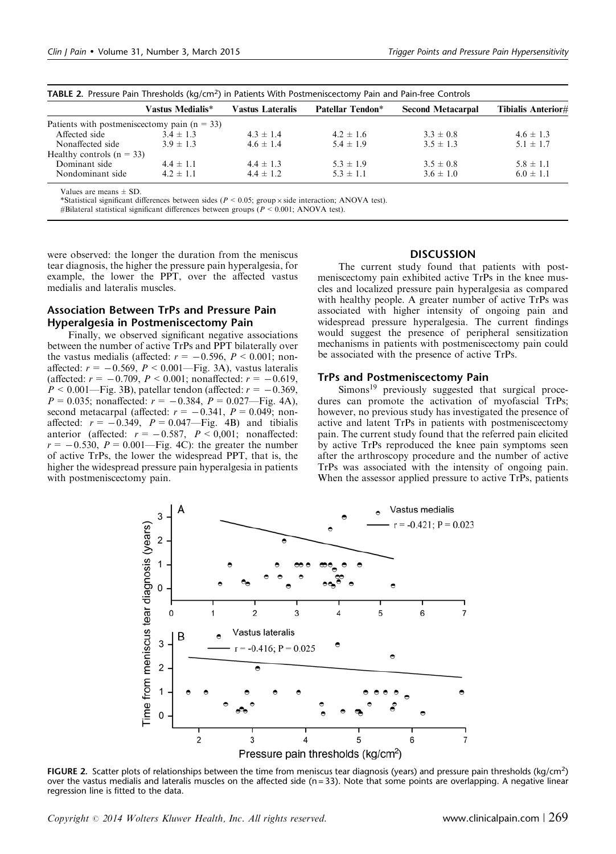<span id="page-4-0"></span>

|                                                | Vastus Medialis* | Vastus Lateralis | <b>Patellar Tendon*</b> | <b>Second Metacarpal</b> | Tibialis Anterior# |
|------------------------------------------------|------------------|------------------|-------------------------|--------------------------|--------------------|
| Patients with postmeniscectomy pain $(n = 33)$ |                  |                  |                         |                          |                    |
| Affected side                                  | $34 + 13$        | $4.3 \pm 1.4$    | $4.2 \pm 1.6$           | $3.3 \pm 0.8$            | $4.6 \pm 1.3$      |
| Nonaffected side                               | $39 + 13$        | $4.6 \pm 1.4$    | $5.4 \pm 1.9$           | $3.5 \pm 1.3$            | $5.1 \pm 1.7$      |
| Healthy controls $(n = 33)$                    |                  |                  |                         |                          |                    |
| Dominant side                                  | $44 + 11$        | $4.4 \pm 1.3$    | $5.3 \pm 1.9$           | $3.5 \pm 0.8$            | $5.8 \pm 1.1$      |
| Nondominant side                               | $4.2 \pm 1.1$    | $44 + 12$        | $5.3 \pm 1.1$           | $3.6 \pm 1.0$            | $6.0 \pm 1.1$      |

Statistical significant differences between sides ( $P < 0.05$ ; group  $\times$  side interaction; ANOVA test).

#Bilateral statistical significant differences between groups ( $P \le 0.001$ ; ANOVA test).

were observed: the longer the duration from the meniscus tear diagnosis, the higher the pressure pain hyperalgesia, for example, the lower the PPT, over the affected vastus medialis and lateralis muscles.

# Association Between TrPs and Pressure Pain Hyperalgesia in Postmeniscectomy Pain

Finally, we observed significant negative associations between the number of active TrPs and PPT bilaterally over the vastus medialis (affected:  $r = -0.596$ ,  $P < 0.001$ ; nonaffected:  $r = -0.569$ ,  $P < 0.001$ [—Fig. 3A\)](#page-5-0), vastus lateralis (affected:  $r = -0.709$ ,  $P < 0.001$ ; nonaffected:  $r = -0.619$ ,  $P < 0.001$ [—Fig. 3B](#page-5-0)), patellar tendon (affected:  $r = -0.369$ ,  $P = 0.035$ ; nonaffected:  $r = -0.384$ ,  $P = 0.027$ —[Fig. 4A\)](#page-6-0), second metacarpal (affected:  $r = -0.341$ ,  $P = 0.049$ ; nonaffected:  $r = -0.349$ ,  $P = 0.047$ —[Fig. 4B](#page-6-0)) and tibialis anterior (affected:  $r = -0.587$ ,  $P < 0.001$ ; nonaffected:  $r = -0.530$ ,  $P = 0.001$ —[Fig. 4C](#page-6-0)): the greater the number of active TrPs, the lower the widespread PPT, that is, the higher the widespread pressure pain hyperalgesia in patients with postmeniscectomy pain.

## **DISCUSSION**

The current study found that patients with postmeniscectomy pain exhibited active TrPs in the knee muscles and localized pressure pain hyperalgesia as compared with healthy people. A greater number of active TrPs was associated with higher intensity of ongoing pain and widespread pressure hyperalgesia. The current findings would suggest the presence of peripheral sensitization mechanisms in patients with postmeniscectomy pain could be associated with the presence of active TrPs.

#### TrPs and Postmeniscectomy Pain

 $Simons<sup>19</sup>$  $Simons<sup>19</sup>$  $Simons<sup>19</sup>$  previously suggested that surgical procedures can promote the activation of myofascial TrPs; however, no previous study has investigated the presence of active and latent TrPs in patients with postmeniscectomy pain. The current study found that the referred pain elicited by active TrPs reproduced the knee pain symptoms seen after the arthroscopy procedure and the number of active TrPs was associated with the intensity of ongoing pain. When the assessor applied pressure to active TrPs, patients



**FIGURE 2.** Scatter plots of relationships between the time from meniscus tear diagnosis (years) and pressure pain thresholds (kg/cm<sup>2</sup>) over the vastus medialis and lateralis muscles on the affected side (n=33). Note that some points are overlapping. A negative linear regression line is fitted to the data.

 $Copyright © 2014 Wolters Kluwer Health, Inc. All rights reserved.$  www.clinicalpain.com |  $269$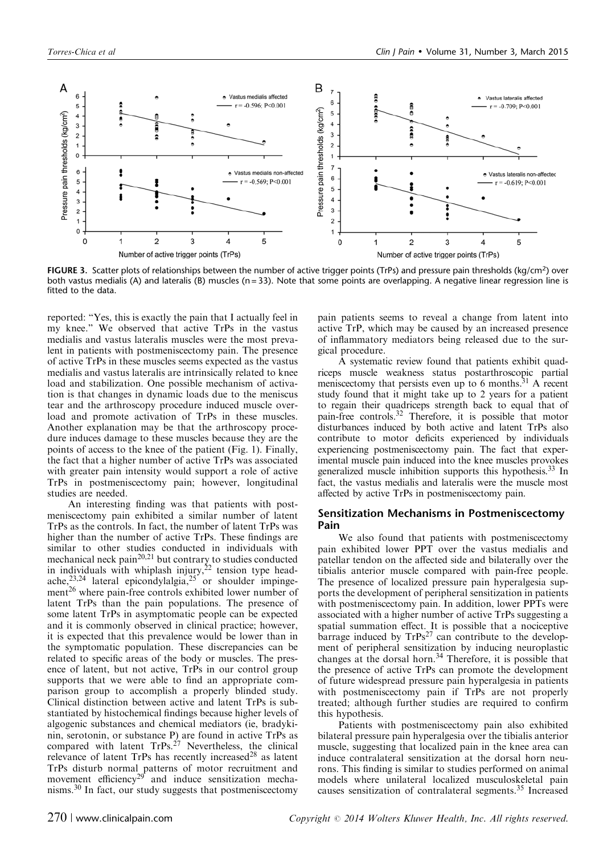<span id="page-5-0"></span>

**FIGURE 3.** Scatter plots of relationships between the number of active trigger points (TrPs) and pressure pain thresholds (kg/cm<sup>2</sup>) over both vastus medialis (A) and lateralis (B) muscles (n = 33). Note that some points are overlapping. A negative linear regression line is fitted to the data.

reported: "Yes, this is exactly the pain that I actually feel in my knee." We observed that active TrPs in the vastus medialis and vastus lateralis muscles were the most prevalent in patients with postmeniscectomy pain. The presence of active TrPs in these muscles seems expected as the vastus medialis and vastus lateralis are intrinsically related to knee load and stabilization. One possible mechanism of activation is that changes in dynamic loads due to the meniscus tear and the arthroscopy procedure induced muscle overload and promote activation of TrPs in these muscles. Another explanation may be that the arthroscopy procedure induces damage to these muscles because they are the points of access to the knee of the patient ([Fig. 1](#page-1-0)). Finally, the fact that a higher number of active TrPs was associated with greater pain intensity would support a role of active TrPs in postmeniscectomy pain; however, longitudinal studies are needed.

An interesting finding was that patients with postmeniscectomy pain exhibited a similar number of latent TrPs as the controls. In fact, the number of latent TrPs was higher than the number of active TrPs. These findings are similar to other studies conducted in individuals with mechanical neck pain<sup>[20,21](#page-7-0)</sup> but contrary to studies conducted in individuals with whiplash injury, $22$  tension type headache, $2^{3,24}$  lateral epicondylalgia, $2^{5}$  or shoulder impinge-ment<sup>[26](#page-7-0)</sup> where pain-free controls exhibited lower number of latent TrPs than the pain populations. The presence of some latent TrPs in asymptomatic people can be expected and it is commonly observed in clinical practice; however, it is expected that this prevalence would be lower than in the symptomatic population. These discrepancies can be related to specific areas of the body or muscles. The presence of latent, but not active, TrPs in our control group supports that we were able to find an appropriate comparison group to accomplish a properly blinded study. Clinical distinction between active and latent TrPs is substantiated by histochemical findings because higher levels of algogenic substances and chemical mediators (ie, bradykinin, serotonin, or substance P) are found in active TrPs as compared with latent  $TrPs<sup>27</sup>$  $TrPs<sup>27</sup>$  $TrPs<sup>27</sup>$  Nevertheless, the clinical relevance of latent TrPs has recently increased<sup>[28](#page-7-0)</sup> as latent TrPs disturb normal patterns of motor recruitment and movement efficiency<sup>[29](#page-7-0)</sup> and induce sensitization mecha-nisms.<sup>[30](#page-7-0)</sup> In fact, our study suggests that postmeniscectomy

pain patients seems to reveal a change from latent into active TrP, which may be caused by an increased presence of inflammatory mediators being released due to the surgical procedure.

A systematic review found that patients exhibit quadriceps muscle weakness status postarthroscopic partial meniscectomy that persists even up to 6 months.<sup>31</sup> A recent study found that it might take up to 2 years for a patient to regain their quadriceps strength back to equal that of pain-free controls.[32](#page-7-0) Therefore, it is possible that motor disturbances induced by both active and latent TrPs also contribute to motor deficits experienced by individuals experiencing postmeniscectomy pain. The fact that experimental muscle pain induced into the knee muscles provokes generalized muscle inhibition supports this hypothesis.[33](#page-7-0) In fact, the vastus medialis and lateralis were the muscle most affected by active TrPs in postmeniscectomy pain.

## Sensitization Mechanisms in Postmeniscectomy Pain

We also found that patients with postmeniscectomy pain exhibited lower PPT over the vastus medialis and patellar tendon on the affected side and bilaterally over the tibialis anterior muscle compared with pain-free people. The presence of localized pressure pain hyperalgesia supports the development of peripheral sensitization in patients with postmeniscectomy pain. In addition, lower PPTs were associated with a higher number of active TrPs suggesting a spatial summation effect. It is possible that a nociceptive  $barrage$  induced by  $TrPs^{27}$  $TrPs^{27}$  $TrPs^{27}$  can contribute to the development of peripheral sensitization by inducing neuroplastic changes at the dorsal horn.<sup>[34](#page-7-0)</sup> Therefore, it is possible that the presence of active TrPs can promote the development of future widespread pressure pain hyperalgesia in patients with postmeniscectomy pain if TrPs are not properly treated; although further studies are required to confirm this hypothesis.

Patients with postmeniscectomy pain also exhibited bilateral pressure pain hyperalgesia over the tibialis anterior muscle, suggesting that localized pain in the knee area can induce contralateral sensitization at the dorsal horn neurons. This finding is similar to studies performed on animal models where unilateral localized musculoskeletal pain causes sensitization of contralateral segments.[35](#page-7-0) Increased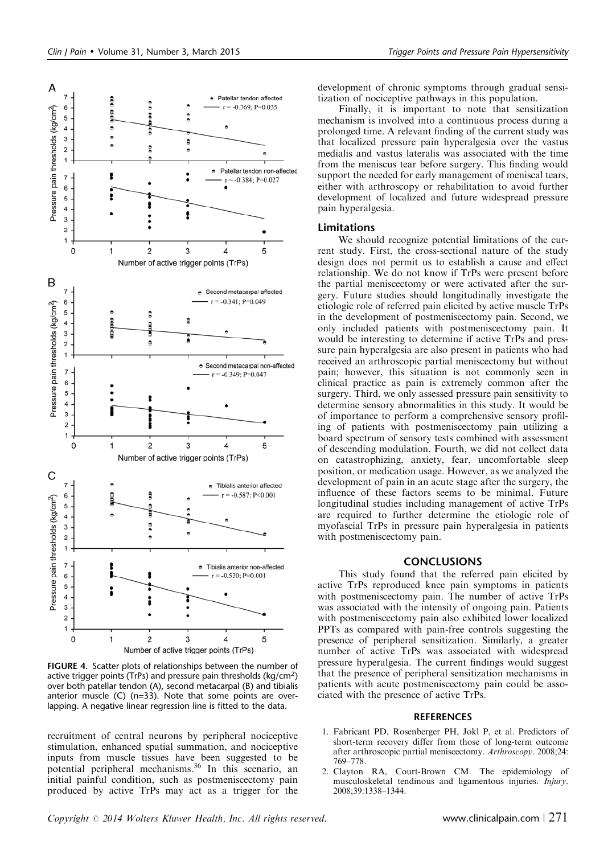<span id="page-6-0"></span>

FIGURE 4. Scatter plots of relationships between the number of active trigger points (TrPs) and pressure pain thresholds (kg/cm<sup>2</sup>) over both patellar tendon (A), second metacarpal (B) and tibialis anterior muscle (C) (n=33). Note that some points are overlapping. A negative linear regression line is fitted to the data.

recruitment of central neurons by peripheral nociceptive stimulation, enhanced spatial summation, and nociceptive inputs from muscle tissues have been suggested to be potential peripheral mechanisms.<sup>[36](#page-7-0)</sup> In this scenario, an initial painful condition, such as postmeniscectomy pain produced by active TrPs may act as a trigger for the

development of chronic symptoms through gradual sensitization of nociceptive pathways in this population.

Finally, it is important to note that sensitization mechanism is involved into a continuous process during a prolonged time. A relevant finding of the current study was that localized pressure pain hyperalgesia over the vastus medialis and vastus lateralis was associated with the time from the meniscus tear before surgery. This finding would support the needed for early management of meniscal tears, either with arthroscopy or rehabilitation to avoid further development of localized and future widespread pressure pain hyperalgesia.

## Limitations

We should recognize potential limitations of the current study. First, the cross-sectional nature of the study design does not permit us to establish a cause and effect relationship. We do not know if TrPs were present before the partial meniscectomy or were activated after the surgery. Future studies should longitudinally investigate the etiologic role of referred pain elicited by active muscle TrPs in the development of postmeniscectomy pain. Second, we only included patients with postmeniscectomy pain. It would be interesting to determine if active TrPs and pressure pain hyperalgesia are also present in patients who had received an arthroscopic partial meniscectomy but without pain; however, this situation is not commonly seen in clinical practice as pain is extremely common after the surgery. Third, we only assessed pressure pain sensitivity to determine sensory abnormalities in this study. It would be of importance to perform a comprehensive sensory profiling of patients with postmeniscectomy pain utilizing a board spectrum of sensory tests combined with assessment of descending modulation. Fourth, we did not collect data on catastrophizing, anxiety, fear, uncomfortable sleep position, or medication usage. However, as we analyzed the development of pain in an acute stage after the surgery, the influence of these factors seems to be minimal. Future longitudinal studies including management of active TrPs are required to further determine the etiologic role of myofascial TrPs in pressure pain hyperalgesia in patients with postmeniscectomy pain.

## **CONCLUSIONS**

This study found that the referred pain elicited by active TrPs reproduced knee pain symptoms in patients with postmeniscectomy pain. The number of active TrPs was associated with the intensity of ongoing pain. Patients with postmeniscectomy pain also exhibited lower localized PPTs as compared with pain-free controls suggesting the presence of peripheral sensitization. Similarly, a greater number of active TrPs was associated with widespread pressure hyperalgesia. The current findings would suggest that the presence of peripheral sensitization mechanisms in patients with acute postmeniscectomy pain could be associated with the presence of active TrPs.

## **REFERENCES**

- 1. Fabricant PD, Rosenberger PH, Jokl P, et al. Predictors of short-term recovery differ from those of long-term outcome after arthroscopic partial meniscectomy. Arthroscopy. 2008;24: 769–778.
- 2. Clayton RA, Court-Brown CM. The epidemiology of musculoskeletal tendinous and ligamentous injuries. Injury. 2008;39:1338–1344.